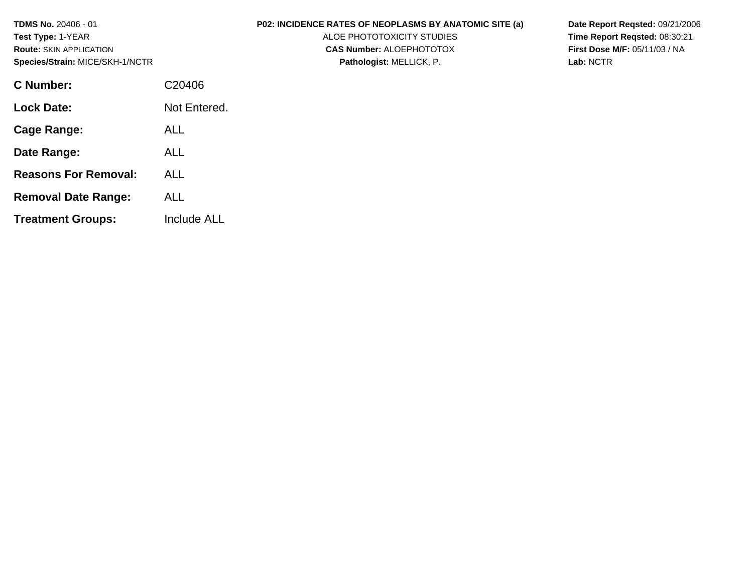| <b>TDMS No. 20406 - 01</b><br><b>Test Type: 1-YEAR</b><br><b>Route: SKIN APPLICATION</b><br>Species/Strain: MICE/SKH-1/NCTR |              | <b>P02: INCIDENCE RATES OF NEOPLASMS BY ANATOMIC SITE (a)</b><br>ALOE PHOTOTOXICITY STUDIES<br><b>CAS Number: ALOEPHOTOTOX</b><br>Pathologist: MELLICK, P. | Date Report Regsted: 09/21/2006<br>Time Report Regsted: 08:30:21<br><b>First Dose M/F: 05/11/03 / NA</b><br>Lab: NCTR |
|-----------------------------------------------------------------------------------------------------------------------------|--------------|------------------------------------------------------------------------------------------------------------------------------------------------------------|-----------------------------------------------------------------------------------------------------------------------|
| <b>C</b> Number:                                                                                                            | C20406       |                                                                                                                                                            |                                                                                                                       |
| <b>Lock Date:</b>                                                                                                           | Not Entered. |                                                                                                                                                            |                                                                                                                       |
| <b>Cage Range:</b>                                                                                                          | <b>ALL</b>   |                                                                                                                                                            |                                                                                                                       |
| Date Range:                                                                                                                 | <b>ALL</b>   |                                                                                                                                                            |                                                                                                                       |
| <b>Reasons For Removal:</b>                                                                                                 | <b>ALL</b>   |                                                                                                                                                            |                                                                                                                       |
| <b>Removal Date Range:</b>                                                                                                  | <b>ALL</b>   |                                                                                                                                                            |                                                                                                                       |

**Treatment Groups:** 

Include ALL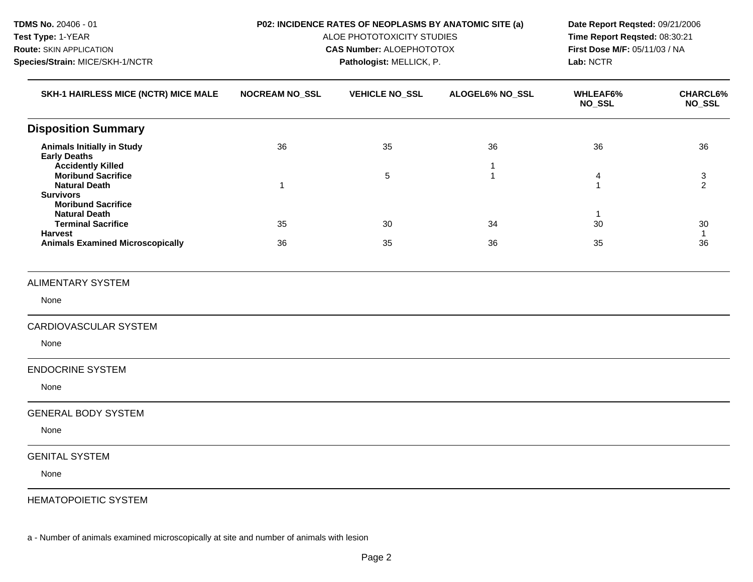| <b>TDMS No. 20406 - 01</b><br>Test Type: 1-YEAR<br><b>Route: SKIN APPLICATION</b><br>Species/Strain: MICE/SKH-1/NCTR |                       | P02: INCIDENCE RATES OF NEOPLASMS BY ANATOMIC SITE (a)<br>ALOE PHOTOTOXICITY STUDIES<br><b>CAS Number: ALOEPHOTOTOX</b><br>Pathologist: MELLICK, P. | Date Report Reqsted: 09/21/2006<br>Time Report Reqsted: 08:30:21<br>First Dose M/F: 05/11/03 / NA<br>Lab: NCTR |                                  |                           |
|----------------------------------------------------------------------------------------------------------------------|-----------------------|-----------------------------------------------------------------------------------------------------------------------------------------------------|----------------------------------------------------------------------------------------------------------------|----------------------------------|---------------------------|
| SKH-1 HAIRLESS MICE (NCTR) MICE MALE                                                                                 | <b>NOCREAM NO_SSL</b> | <b>VEHICLE NO_SSL</b>                                                                                                                               | ALOGEL6% NO_SSL                                                                                                | <b>WHLEAF6%</b><br><b>NO_SSL</b> | CHARCL6%<br><b>NO_SSL</b> |
| <b>Disposition Summary</b>                                                                                           |                       |                                                                                                                                                     |                                                                                                                |                                  |                           |
| <b>Animals Initially in Study</b><br><b>Early Deaths</b><br><b>Accidently Killed</b>                                 | 36                    | 35                                                                                                                                                  | 36<br>-1                                                                                                       | 36                               | 36                        |
| <b>Moribund Sacrifice</b><br><b>Natural Death</b><br><b>Survivors</b><br><b>Moribund Sacrifice</b>                   | $\mathbf{1}$          | 5                                                                                                                                                   | $\mathbf{1}$                                                                                                   | 4<br>$\mathbf{1}$                | 3<br>$\overline{2}$       |
| <b>Natural Death</b><br><b>Terminal Sacrifice</b><br><b>Harvest</b>                                                  | 35                    | 30                                                                                                                                                  | 34                                                                                                             | -1<br>30                         | 30<br>$\mathbf{1}$        |
| <b>Animals Examined Microscopically</b>                                                                              | 36                    | 35                                                                                                                                                  | 36                                                                                                             | 35                               | 36                        |
| <b>ALIMENTARY SYSTEM</b>                                                                                             |                       |                                                                                                                                                     |                                                                                                                |                                  |                           |
| None                                                                                                                 |                       |                                                                                                                                                     |                                                                                                                |                                  |                           |
| CARDIOVASCULAR SYSTEM                                                                                                |                       |                                                                                                                                                     |                                                                                                                |                                  |                           |
| None                                                                                                                 |                       |                                                                                                                                                     |                                                                                                                |                                  |                           |
| <b>ENDOCRINE SYSTEM</b>                                                                                              |                       |                                                                                                                                                     |                                                                                                                |                                  |                           |
| None                                                                                                                 |                       |                                                                                                                                                     |                                                                                                                |                                  |                           |
| <b>GENERAL BODY SYSTEM</b>                                                                                           |                       |                                                                                                                                                     |                                                                                                                |                                  |                           |
| None                                                                                                                 |                       |                                                                                                                                                     |                                                                                                                |                                  |                           |
| <b>GENITAL SYSTEM</b>                                                                                                |                       |                                                                                                                                                     |                                                                                                                |                                  |                           |
| None                                                                                                                 |                       |                                                                                                                                                     |                                                                                                                |                                  |                           |

HEMATOPOIETIC SYSTEM

a - Number of animals examined microscopically at site and number of animals with lesion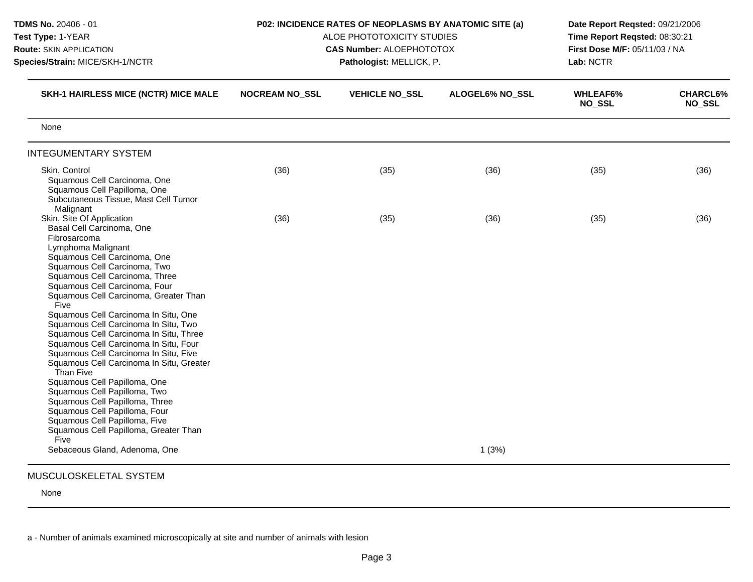| TDMS No. 20406 - 01<br>Test Type: 1-YEAR<br>Route: SKIN APPLICATION<br>Species/Strain: MICE/SKH-1/NCTR                                                                                                                                                                                                                                                                                                                                                                                                                                                                                                                                                                                                                                                                     |                       | P02: INCIDENCE RATES OF NEOPLASMS BY ANATOMIC SITE (a)<br>ALOE PHOTOTOXICITY STUDIES<br><b>CAS Number: ALOEPHOTOTOX</b><br>Pathologist: MELLICK, P. | Date Report Reqsted: 09/21/2006<br>Time Report Regsted: 08:30:21<br>First Dose M/F: 05/11/03 / NA<br>Lab: NCTR |                                  |                                  |
|----------------------------------------------------------------------------------------------------------------------------------------------------------------------------------------------------------------------------------------------------------------------------------------------------------------------------------------------------------------------------------------------------------------------------------------------------------------------------------------------------------------------------------------------------------------------------------------------------------------------------------------------------------------------------------------------------------------------------------------------------------------------------|-----------------------|-----------------------------------------------------------------------------------------------------------------------------------------------------|----------------------------------------------------------------------------------------------------------------|----------------------------------|----------------------------------|
| SKH-1 HAIRLESS MICE (NCTR) MICE MALE                                                                                                                                                                                                                                                                                                                                                                                                                                                                                                                                                                                                                                                                                                                                       | <b>NOCREAM NO_SSL</b> | <b>VEHICLE NO_SSL</b>                                                                                                                               | ALOGEL6% NO SSL                                                                                                | <b>WHLEAF6%</b><br><b>NO_SSL</b> | <b>CHARCL6%</b><br><b>NO_SSL</b> |
| None                                                                                                                                                                                                                                                                                                                                                                                                                                                                                                                                                                                                                                                                                                                                                                       |                       |                                                                                                                                                     |                                                                                                                |                                  |                                  |
| <b>INTEGUMENTARY SYSTEM</b>                                                                                                                                                                                                                                                                                                                                                                                                                                                                                                                                                                                                                                                                                                                                                |                       |                                                                                                                                                     |                                                                                                                |                                  |                                  |
| Skin, Control<br>Squamous Cell Carcinoma, One<br>Squamous Cell Papilloma, One<br>Subcutaneous Tissue, Mast Cell Tumor<br>Malignant                                                                                                                                                                                                                                                                                                                                                                                                                                                                                                                                                                                                                                         | (36)                  | (35)                                                                                                                                                | (36)                                                                                                           | (35)                             | (36)                             |
| Skin, Site Of Application<br>Basal Cell Carcinoma, One<br>Fibrosarcoma<br>Lymphoma Malignant<br>Squamous Cell Carcinoma, One<br>Squamous Cell Carcinoma, Two<br>Squamous Cell Carcinoma, Three<br>Squamous Cell Carcinoma, Four<br>Squamous Cell Carcinoma, Greater Than<br>Five<br>Squamous Cell Carcinoma In Situ, One<br>Squamous Cell Carcinoma In Situ, Two<br>Squamous Cell Carcinoma In Situ, Three<br>Squamous Cell Carcinoma In Situ, Four<br>Squamous Cell Carcinoma In Situ, Five<br>Squamous Cell Carcinoma In Situ, Greater<br>Than Five<br>Squamous Cell Papilloma, One<br>Squamous Cell Papilloma, Two<br>Squamous Cell Papilloma, Three<br>Squamous Cell Papilloma, Four<br>Squamous Cell Papilloma, Five<br>Squamous Cell Papilloma, Greater Than<br>Five | (36)                  | (35)                                                                                                                                                | (36)                                                                                                           | (35)                             | (36)                             |
| Sebaceous Gland, Adenoma, One                                                                                                                                                                                                                                                                                                                                                                                                                                                                                                                                                                                                                                                                                                                                              |                       |                                                                                                                                                     | 1(3%)                                                                                                          |                                  |                                  |

None

a - Number of animals examined microscopically at site and number of animals with lesion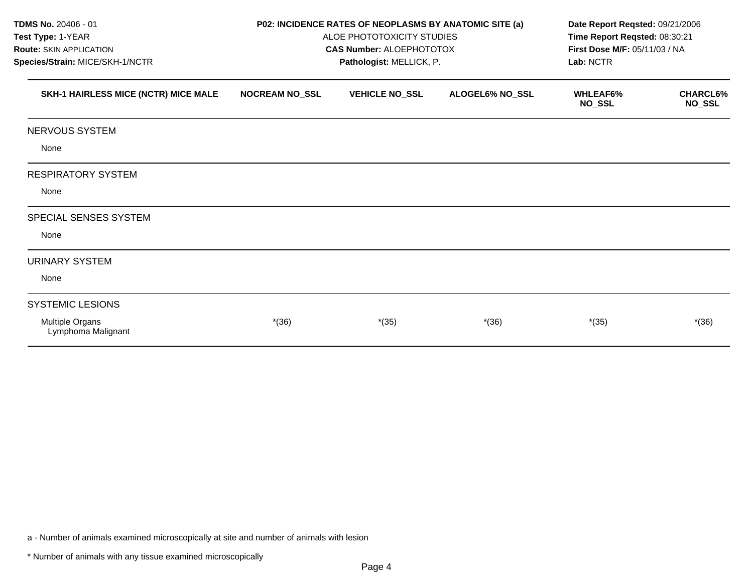| TDMS No. 20406 - 01                   |                       | P02: INCIDENCE RATES OF NEOPLASMS BY ANATOMIC SITE (a) |                 | Date Report Reqsted: 09/21/2006                                |                                  |  |
|---------------------------------------|-----------------------|--------------------------------------------------------|-----------------|----------------------------------------------------------------|----------------------------------|--|
| Test Type: 1-YEAR                     |                       | ALOE PHOTOTOXICITY STUDIES                             |                 | Time Report Reqsted: 08:30:21<br>First Dose M/F: 05/11/03 / NA |                                  |  |
| <b>Route: SKIN APPLICATION</b>        |                       | <b>CAS Number: ALOEPHOTOTOX</b>                        |                 |                                                                |                                  |  |
| Species/Strain: MICE/SKH-1/NCTR       |                       | Pathologist: MELLICK, P.                               |                 | Lab: NCTR                                                      |                                  |  |
| SKH-1 HAIRLESS MICE (NCTR) MICE MALE  | <b>NOCREAM NO_SSL</b> | <b>VEHICLE NO_SSL</b>                                  | ALOGEL6% NO_SSL | <b>WHLEAF6%</b><br><b>NO_SSL</b>                               | <b>CHARCL6%</b><br><b>NO_SSL</b> |  |
| NERVOUS SYSTEM                        |                       |                                                        |                 |                                                                |                                  |  |
| None                                  |                       |                                                        |                 |                                                                |                                  |  |
| <b>RESPIRATORY SYSTEM</b>             |                       |                                                        |                 |                                                                |                                  |  |
| None                                  |                       |                                                        |                 |                                                                |                                  |  |
| <b>SPECIAL SENSES SYSTEM</b>          |                       |                                                        |                 |                                                                |                                  |  |
| None                                  |                       |                                                        |                 |                                                                |                                  |  |
| <b>URINARY SYSTEM</b>                 |                       |                                                        |                 |                                                                |                                  |  |
| None                                  |                       |                                                        |                 |                                                                |                                  |  |
| <b>SYSTEMIC LESIONS</b>               |                       |                                                        |                 |                                                                |                                  |  |
| Multiple Organs<br>Lymphoma Malignant | $*(36)$               | $*(35)$                                                | $*(36)$         | $*(35)$                                                        | $*(36)$                          |  |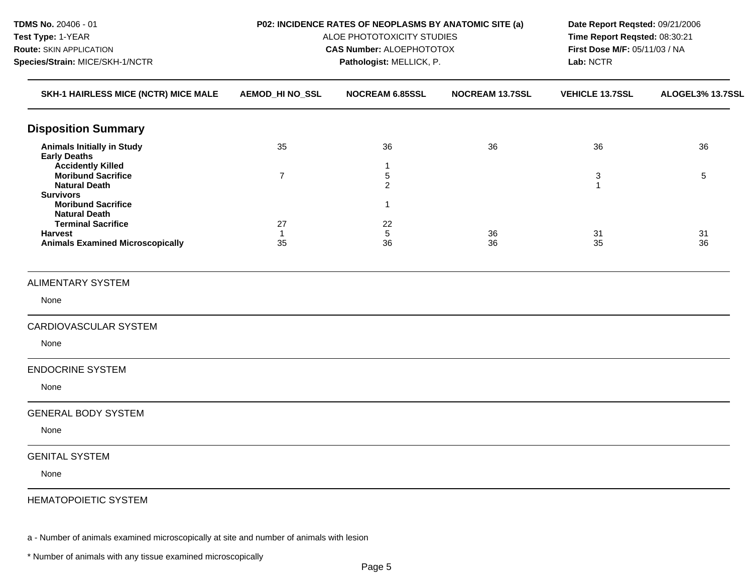| TDMS No. 20406 - 01<br>Test Type: 1-YEAR<br>Route: SKIN APPLICATION<br>Species/Strain: MICE/SKH-1/NCTR |                        | P02: INCIDENCE RATES OF NEOPLASMS BY ANATOMIC SITE (a)<br>ALOE PHOTOTOXICITY STUDIES<br><b>CAS Number: ALOEPHOTOTOX</b><br>Pathologist: MELLICK, P. | Date Report Reqsted: 09/21/2006<br>Time Report Reqsted: 08:30:21<br>First Dose M/F: 05/11/03 / NA<br>Lab: NCTR |                        |                  |
|--------------------------------------------------------------------------------------------------------|------------------------|-----------------------------------------------------------------------------------------------------------------------------------------------------|----------------------------------------------------------------------------------------------------------------|------------------------|------------------|
| SKH-1 HAIRLESS MICE (NCTR) MICE MALE                                                                   | <b>AEMOD_HI NO_SSL</b> | <b>NOCREAM 6.85SSL</b>                                                                                                                              | <b>NOCREAM 13.7SSL</b>                                                                                         | <b>VEHICLE 13.7SSL</b> | ALOGEL3% 13.7SSL |
| <b>Disposition Summary</b>                                                                             |                        |                                                                                                                                                     |                                                                                                                |                        |                  |
| <b>Animals Initially in Study</b><br><b>Early Deaths</b><br><b>Accidently Killed</b>                   | 35                     | 36<br>$\mathbf{1}$                                                                                                                                  | 36                                                                                                             | 36                     | 36               |
| <b>Moribund Sacrifice</b><br><b>Natural Death</b><br><b>Survivors</b>                                  | $\overline{7}$         | 5<br>$\overline{c}$                                                                                                                                 |                                                                                                                | 3<br>$\mathbf{1}$      | 5                |
| <b>Moribund Sacrifice</b><br><b>Natural Death</b><br><b>Terminal Sacrifice</b>                         | 27                     | $\mathbf{1}$<br>22                                                                                                                                  |                                                                                                                |                        |                  |
| <b>Harvest</b><br><b>Animals Examined Microscopically</b>                                              | $\mathbf{1}$<br>35     | 5<br>36                                                                                                                                             | 36<br>36                                                                                                       | 31<br>35               | 31<br>36         |
| <b>ALIMENTARY SYSTEM</b>                                                                               |                        |                                                                                                                                                     |                                                                                                                |                        |                  |
| None                                                                                                   |                        |                                                                                                                                                     |                                                                                                                |                        |                  |
| CARDIOVASCULAR SYSTEM                                                                                  |                        |                                                                                                                                                     |                                                                                                                |                        |                  |
| None                                                                                                   |                        |                                                                                                                                                     |                                                                                                                |                        |                  |
| <b>ENDOCRINE SYSTEM</b>                                                                                |                        |                                                                                                                                                     |                                                                                                                |                        |                  |
| None                                                                                                   |                        |                                                                                                                                                     |                                                                                                                |                        |                  |
| <b>GENERAL BODY SYSTEM</b>                                                                             |                        |                                                                                                                                                     |                                                                                                                |                        |                  |
| None                                                                                                   |                        |                                                                                                                                                     |                                                                                                                |                        |                  |
| <b>GENITAL SYSTEM</b>                                                                                  |                        |                                                                                                                                                     |                                                                                                                |                        |                  |
| None                                                                                                   |                        |                                                                                                                                                     |                                                                                                                |                        |                  |
| <b>HEMATOPOIETIC SYSTEM</b>                                                                            |                        |                                                                                                                                                     |                                                                                                                |                        |                  |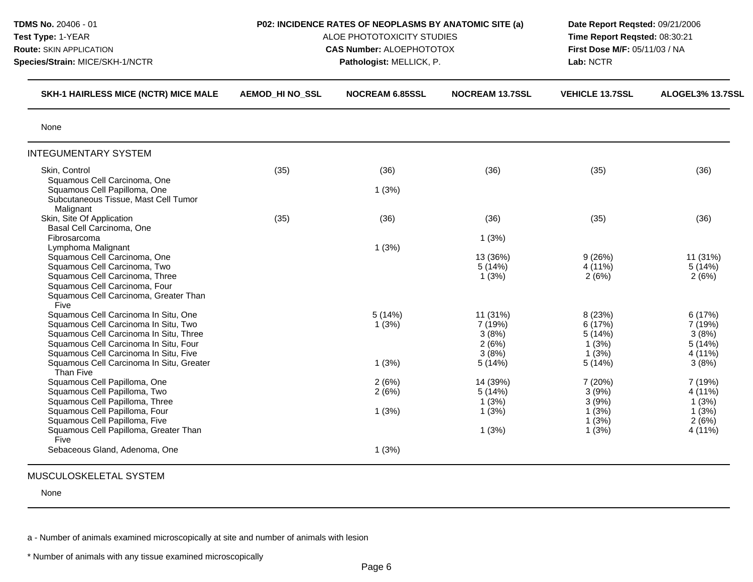| TDMS No. 20406 - 01<br>Test Type: 1-YEAR<br>Route: SKIN APPLICATION<br>Species/Strain: MICE/SKH-1/NCTR                                                                                                                                               | P02: INCIDENCE RATES OF NEOPLASMS BY ANATOMIC SITE (a)<br>ALOE PHOTOTOXICITY STUDIES<br><b>CAS Number: ALOEPHOTOTOX</b><br>Pathologist: MELLICK, P. |                          |                                                          | Date Report Reqsted: 09/21/2006<br>Time Report Reqsted: 08:30:21<br>First Dose M/F: 05/11/03 / NA<br>Lab: NCTR |                                                          |
|------------------------------------------------------------------------------------------------------------------------------------------------------------------------------------------------------------------------------------------------------|-----------------------------------------------------------------------------------------------------------------------------------------------------|--------------------------|----------------------------------------------------------|----------------------------------------------------------------------------------------------------------------|----------------------------------------------------------|
| <b>SKH-1 HAIRLESS MICE (NCTR) MICE MALE</b>                                                                                                                                                                                                          | <b>AEMOD HI NO_SSL</b>                                                                                                                              | <b>NOCREAM 6.85SSL</b>   | <b>NOCREAM 13.7SSL</b>                                   | <b>VEHICLE 13.7SSL</b>                                                                                         | ALOGEL3% 13.7SSL                                         |
| None                                                                                                                                                                                                                                                 |                                                                                                                                                     |                          |                                                          |                                                                                                                |                                                          |
| <b>INTEGUMENTARY SYSTEM</b>                                                                                                                                                                                                                          |                                                                                                                                                     |                          |                                                          |                                                                                                                |                                                          |
| Skin, Control<br>Squamous Cell Carcinoma, One<br>Squamous Cell Papilloma, One<br>Subcutaneous Tissue, Mast Cell Tumor                                                                                                                                | (35)                                                                                                                                                | (36)<br>1(3%)            | (36)                                                     | (35)                                                                                                           | (36)                                                     |
| Malignant<br>Skin, Site Of Application<br>Basal Cell Carcinoma, One<br>Fibrosarcoma                                                                                                                                                                  | (35)                                                                                                                                                | (36)                     | (36)<br>1(3%)                                            | (35)                                                                                                           | (36)                                                     |
| Lymphoma Malignant<br>Squamous Cell Carcinoma, One<br>Squamous Cell Carcinoma, Two<br>Squamous Cell Carcinoma, Three<br>Squamous Cell Carcinoma, Four<br>Squamous Cell Carcinoma, Greater Than<br>Five                                               |                                                                                                                                                     | 1(3%)                    | 13 (36%)<br>5(14%)<br>1(3%)                              | 9(26%)<br>4 (11%)<br>2(6%)                                                                                     | 11 (31%)<br>5(14%)<br>2(6%)                              |
| Squamous Cell Carcinoma In Situ, One<br>Squamous Cell Carcinoma In Situ, Two<br>Squamous Cell Carcinoma In Situ, Three<br>Squamous Cell Carcinoma In Situ, Four<br>Squamous Cell Carcinoma In Situ, Five<br>Squamous Cell Carcinoma In Situ, Greater |                                                                                                                                                     | 5(14%)<br>1(3%)<br>1(3%) | 11 (31%)<br>7 (19%)<br>3(8%)<br>2(6%)<br>3(8%)<br>5(14%) | 8 (23%)<br>6 (17%)<br>5(14%)<br>1(3%)<br>1(3%)<br>5(14%)                                                       | 6(17%)<br>7 (19%)<br>3(8%)<br>5(14%)<br>4 (11%)<br>3(8%) |
| Than Five<br>Squamous Cell Papilloma, One<br>Squamous Cell Papilloma, Two<br>Squamous Cell Papilloma, Three<br>Squamous Cell Papilloma, Four<br>Squamous Cell Papilloma, Five                                                                        |                                                                                                                                                     | 2(6%)<br>2(6%)<br>1(3%)  | 14 (39%)<br>5(14%)<br>1(3%)<br>1(3%)                     | 7(20%)<br>3(9%)<br>3(9%)<br>1(3%)<br>1(3%)                                                                     | 7 (19%)<br>4 (11%)<br>1(3%)<br>1(3%)<br>2(6%)            |
| Squamous Cell Papilloma, Greater Than<br>Five<br>Sebaceous Gland, Adenoma, One                                                                                                                                                                       |                                                                                                                                                     | 1(3%)                    | 1(3%)                                                    | 1(3%)                                                                                                          | 4 (11%)                                                  |

None

a - Number of animals examined microscopically at site and number of animals with lesion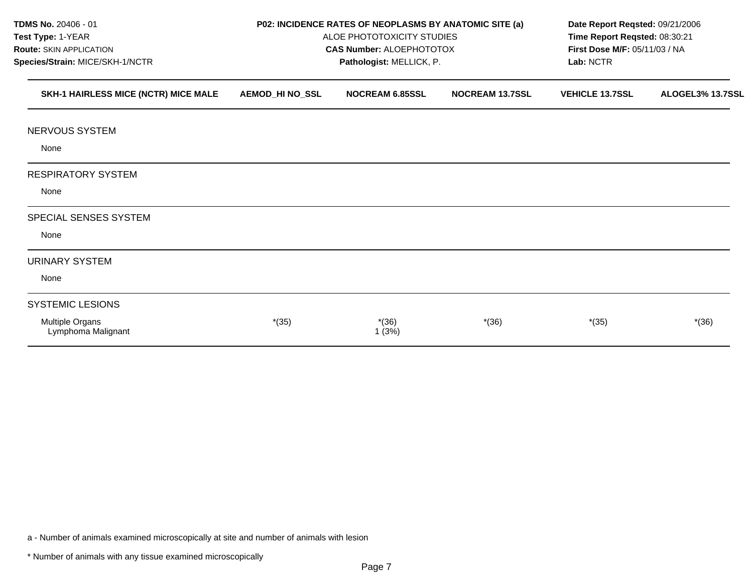| TDMS No. 20406 - 01<br>Test Type: 1-YEAR<br>Route: SKIN APPLICATION<br>Species/Strain: MICE/SKH-1/NCTR |                        | P02: INCIDENCE RATES OF NEOPLASMS BY ANATOMIC SITE (a)<br>ALOE PHOTOTOXICITY STUDIES<br><b>CAS Number: ALOEPHOTOTOX</b><br>Pathologist: MELLICK, P. | Date Report Regsted: 09/21/2006<br>Time Report Reqsted: 08:30:21<br>First Dose M/F: 05/11/03 / NA<br>Lab: NCTR |                        |                  |
|--------------------------------------------------------------------------------------------------------|------------------------|-----------------------------------------------------------------------------------------------------------------------------------------------------|----------------------------------------------------------------------------------------------------------------|------------------------|------------------|
| SKH-1 HAIRLESS MICE (NCTR) MICE MALE                                                                   | <b>AEMOD_HI NO_SSL</b> | <b>NOCREAM 6.85SSL</b>                                                                                                                              | <b>NOCREAM 13.7SSL</b>                                                                                         | <b>VEHICLE 13.7SSL</b> | ALOGEL3% 13.7SSL |
| NERVOUS SYSTEM                                                                                         |                        |                                                                                                                                                     |                                                                                                                |                        |                  |
| None                                                                                                   |                        |                                                                                                                                                     |                                                                                                                |                        |                  |
| <b>RESPIRATORY SYSTEM</b>                                                                              |                        |                                                                                                                                                     |                                                                                                                |                        |                  |
| None                                                                                                   |                        |                                                                                                                                                     |                                                                                                                |                        |                  |
| SPECIAL SENSES SYSTEM                                                                                  |                        |                                                                                                                                                     |                                                                                                                |                        |                  |
| None                                                                                                   |                        |                                                                                                                                                     |                                                                                                                |                        |                  |
| URINARY SYSTEM                                                                                         |                        |                                                                                                                                                     |                                                                                                                |                        |                  |
| None                                                                                                   |                        |                                                                                                                                                     |                                                                                                                |                        |                  |
| <b>SYSTEMIC LESIONS</b>                                                                                |                        |                                                                                                                                                     |                                                                                                                |                        |                  |
| Multiple Organs<br>Lymphoma Malignant                                                                  | $*(35)$                | $*(36)$<br>1(3%)                                                                                                                                    | $*(36)$                                                                                                        | $*(35)$                | $*(36)$          |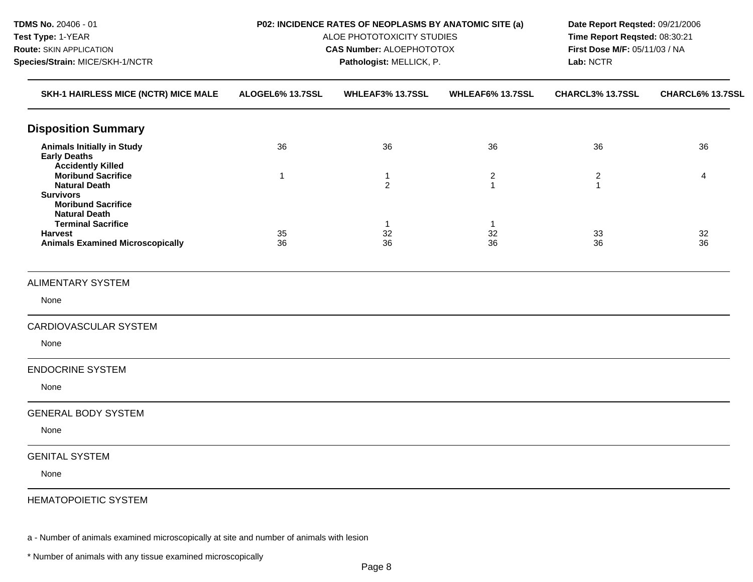| TDMS No. 20406 - 01<br>Test Type: 1-YEAR<br>Route: SKIN APPLICATION<br>Species/Strain: MICE/SKH-1/NCTR                     |                  | P02: INCIDENCE RATES OF NEOPLASMS BY ANATOMIC SITE (a)<br>ALOE PHOTOTOXICITY STUDIES<br><b>CAS Number: ALOEPHOTOTOX</b><br>Pathologist: MELLICK, P. | Date Report Reqsted: 09/21/2006<br>Time Report Reqsted: 08:30:21<br>First Dose M/F: 05/11/03 / NA<br>Lab: NCTR |                                |                  |
|----------------------------------------------------------------------------------------------------------------------------|------------------|-----------------------------------------------------------------------------------------------------------------------------------------------------|----------------------------------------------------------------------------------------------------------------|--------------------------------|------------------|
| SKH-1 HAIRLESS MICE (NCTR) MICE MALE                                                                                       | ALOGEL6% 13.7SSL | WHLEAF3% 13.7SSL                                                                                                                                    | WHLEAF6% 13.7SSL                                                                                               | CHARCL3% 13.7SSL               | CHARCL6% 13.7SSL |
| <b>Disposition Summary</b>                                                                                                 |                  |                                                                                                                                                     |                                                                                                                |                                |                  |
| <b>Animals Initially in Study</b><br><b>Early Deaths</b><br><b>Accidently Killed</b>                                       | 36               | 36                                                                                                                                                  | 36                                                                                                             | 36                             | 36               |
| <b>Moribund Sacrifice</b><br><b>Natural Death</b><br><b>Survivors</b><br><b>Moribund Sacrifice</b><br><b>Natural Death</b> | $\mathbf{1}$     | 1<br>$\overline{2}$                                                                                                                                 | $\overline{2}$<br>$\mathbf{1}$                                                                                 | $\overline{2}$<br>$\mathbf{1}$ | 4                |
| <b>Terminal Sacrifice</b><br><b>Harvest</b><br><b>Animals Examined Microscopically</b>                                     | 35<br>36         | $\mathbf{1}$<br>32<br>36                                                                                                                            | $\mathbf{1}$<br>32<br>36                                                                                       | 33<br>36                       | 32<br>36         |
| <b>ALIMENTARY SYSTEM</b>                                                                                                   |                  |                                                                                                                                                     |                                                                                                                |                                |                  |
| None                                                                                                                       |                  |                                                                                                                                                     |                                                                                                                |                                |                  |
| CARDIOVASCULAR SYSTEM                                                                                                      |                  |                                                                                                                                                     |                                                                                                                |                                |                  |
| None                                                                                                                       |                  |                                                                                                                                                     |                                                                                                                |                                |                  |
| <b>ENDOCRINE SYSTEM</b>                                                                                                    |                  |                                                                                                                                                     |                                                                                                                |                                |                  |
| None                                                                                                                       |                  |                                                                                                                                                     |                                                                                                                |                                |                  |
| <b>GENERAL BODY SYSTEM</b>                                                                                                 |                  |                                                                                                                                                     |                                                                                                                |                                |                  |
| None                                                                                                                       |                  |                                                                                                                                                     |                                                                                                                |                                |                  |
| <b>GENITAL SYSTEM</b>                                                                                                      |                  |                                                                                                                                                     |                                                                                                                |                                |                  |
| None                                                                                                                       |                  |                                                                                                                                                     |                                                                                                                |                                |                  |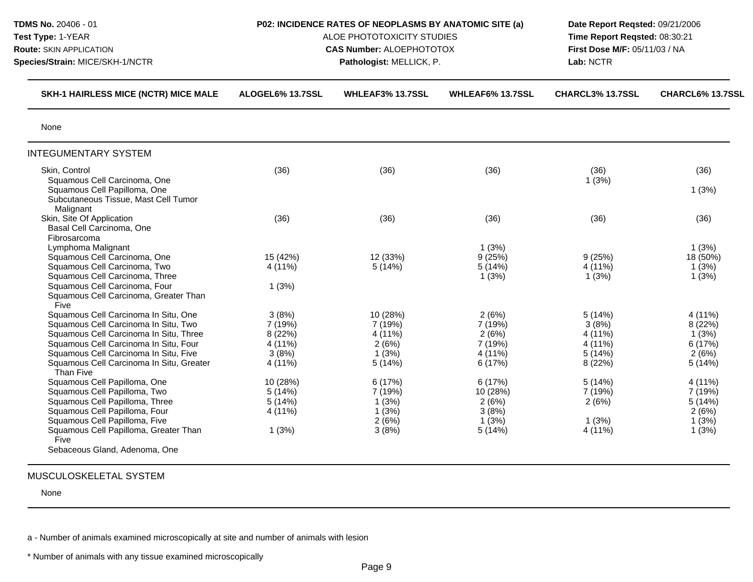| TDMS No. 20406 - 01<br>Test Type: 1-YEAR<br><b>Route: SKIN APPLICATION</b><br>Species/Strain: MICE/SKH-1/NCTR                                                                                                                                                     | P02: INCIDENCE RATES OF NEOPLASMS BY ANATOMIC SITE (a)<br>ALOE PHOTOTOXICITY STUDIES<br><b>CAS Number: ALOEPHOTOTOX</b><br>Pathologist: MELLICK, P. |                                                            |                                                            | Date Report Reqsted: 09/21/2006<br>Time Report Reqsted: 08:30:21<br>First Dose M/F: 05/11/03 / NA<br>Lab: NCTR |                                                           |
|-------------------------------------------------------------------------------------------------------------------------------------------------------------------------------------------------------------------------------------------------------------------|-----------------------------------------------------------------------------------------------------------------------------------------------------|------------------------------------------------------------|------------------------------------------------------------|----------------------------------------------------------------------------------------------------------------|-----------------------------------------------------------|
| <b>SKH-1 HAIRLESS MICE (NCTR) MICE MALE</b>                                                                                                                                                                                                                       | ALOGEL6% 13.7SSL                                                                                                                                    | <b>WHLEAF3% 13.7SSL</b>                                    | WHLEAF6% 13.7SSL                                           | CHARCL3% 13.7SSL                                                                                               | CHARCL6% 13.7SSL                                          |
| None                                                                                                                                                                                                                                                              |                                                                                                                                                     |                                                            |                                                            |                                                                                                                |                                                           |
| <b>INTEGUMENTARY SYSTEM</b>                                                                                                                                                                                                                                       |                                                                                                                                                     |                                                            |                                                            |                                                                                                                |                                                           |
| Skin, Control<br>Squamous Cell Carcinoma, One<br>Squamous Cell Papilloma, One<br>Subcutaneous Tissue, Mast Cell Tumor<br>Malignant                                                                                                                                | (36)                                                                                                                                                | (36)                                                       | (36)                                                       | (36)<br>1(3%)                                                                                                  | (36)<br>1(3%)                                             |
| Skin, Site Of Application<br>Basal Cell Carcinoma, One<br>Fibrosarcoma                                                                                                                                                                                            | (36)                                                                                                                                                | (36)                                                       | (36)                                                       | (36)                                                                                                           | (36)                                                      |
| Lymphoma Malignant<br>Squamous Cell Carcinoma, One<br>Squamous Cell Carcinoma, Two<br>Squamous Cell Carcinoma, Three<br>Squamous Cell Carcinoma, Four                                                                                                             | 15 (42%)<br>4 (11%)<br>1(3%)                                                                                                                        | 12 (33%)<br>5(14%)                                         | 1(3%)<br>9(25%)<br>5(14%)<br>1(3%)                         | 9(25%)<br>4 (11%)<br>1(3%)                                                                                     | 1(3%)<br>18 (50%)<br>1(3%)<br>1(3%)                       |
| Squamous Cell Carcinoma, Greater Than<br>Five                                                                                                                                                                                                                     |                                                                                                                                                     |                                                            |                                                            |                                                                                                                |                                                           |
| Squamous Cell Carcinoma In Situ, One<br>Squamous Cell Carcinoma In Situ, Two<br>Squamous Cell Carcinoma In Situ, Three<br>Squamous Cell Carcinoma In Situ, Four<br>Squamous Cell Carcinoma In Situ, Five<br>Squamous Cell Carcinoma In Situ, Greater<br>Than Five | 3(8%)<br>7 (19%)<br>8 (22%)<br>4 (11%)<br>3(8%)<br>4 (11%)                                                                                          | 10 (28%)<br>7 (19%)<br>4 (11%)<br>2(6%)<br>1(3%)<br>5(14%) | 2(6%)<br>7 (19%)<br>2(6%)<br>7 (19%)<br>4 (11%)<br>6 (17%) | 5(14%)<br>3(8%)<br>4 (11%)<br>4 (11%)<br>5(14%)<br>8 (22%)                                                     | 4 (11%)<br>8 (22%)<br>1(3%)<br>6 (17%)<br>2(6%)<br>5(14%) |
| Squamous Cell Papilloma, One<br>Squamous Cell Papilloma, Two<br>Squamous Cell Papilloma, Three<br>Squamous Cell Papilloma, Four<br>Squamous Cell Papilloma, Five<br>Squamous Cell Papilloma, Greater Than<br>Five                                                 | 10 (28%)<br>5(14%)<br>5(14%)<br>4 (11%)<br>1(3%)                                                                                                    | 6 (17%)<br>7 (19%)<br>1(3%)<br>1(3%)<br>2(6%)<br>3(8%)     | 6(17%)<br>10 (28%)<br>2(6%)<br>3(8%)<br>1(3%)<br>5(14%)    | 5(14%)<br>7 (19%)<br>2(6%)<br>1(3%)<br>4 (11%)                                                                 | 4 (11%)<br>7 (19%)<br>5(14%)<br>2(6%)<br>1(3%)<br>1(3%)   |

None

a - Number of animals examined microscopically at site and number of animals with lesion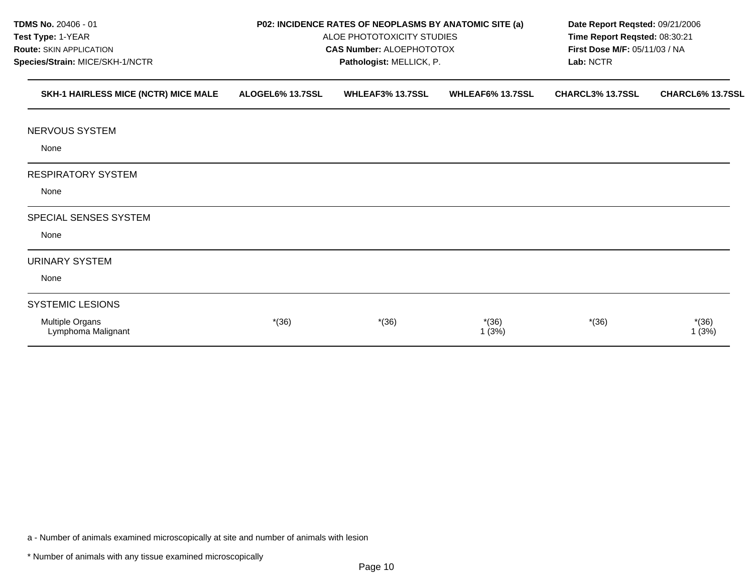| TDMS No. 20406 - 01<br>Test Type: 1-YEAR                          |                  | P02: INCIDENCE RATES OF NEOPLASMS BY ANATOMIC SITE (a)<br>ALOE PHOTOTOXICITY STUDIES | Date Report Reqsted: 09/21/2006<br>Time Report Reqsted: 08:30:21<br>First Dose M/F: 05/11/03 / NA<br>Lab: NCTR |                  |                  |
|-------------------------------------------------------------------|------------------|--------------------------------------------------------------------------------------|----------------------------------------------------------------------------------------------------------------|------------------|------------------|
| <b>Route: SKIN APPLICATION</b><br>Species/Strain: MICE/SKH-1/NCTR |                  | <b>CAS Number: ALOEPHOTOTOX</b><br>Pathologist: MELLICK, P.                          |                                                                                                                |                  |                  |
| SKH-1 HAIRLESS MICE (NCTR) MICE MALE                              | ALOGEL6% 13.7SSL | <b>WHLEAF3% 13.7SSL</b>                                                              | WHLEAF6% 13.7SSL                                                                                               | CHARCL3% 13.7SSL | CHARCL6% 13.7SSL |
| NERVOUS SYSTEM                                                    |                  |                                                                                      |                                                                                                                |                  |                  |
| None                                                              |                  |                                                                                      |                                                                                                                |                  |                  |
| <b>RESPIRATORY SYSTEM</b>                                         |                  |                                                                                      |                                                                                                                |                  |                  |
| None                                                              |                  |                                                                                      |                                                                                                                |                  |                  |
| SPECIAL SENSES SYSTEM                                             |                  |                                                                                      |                                                                                                                |                  |                  |
| None                                                              |                  |                                                                                      |                                                                                                                |                  |                  |
| <b>URINARY SYSTEM</b>                                             |                  |                                                                                      |                                                                                                                |                  |                  |
| None                                                              |                  |                                                                                      |                                                                                                                |                  |                  |
| <b>SYSTEMIC LESIONS</b>                                           |                  |                                                                                      |                                                                                                                |                  |                  |
| Multiple Organs<br>Lymphoma Malignant                             | $*(36)$          | $*(36)$                                                                              | $*(36)$<br>1(3%)                                                                                               | $*(36)$          | $*(36)$<br>1(3%) |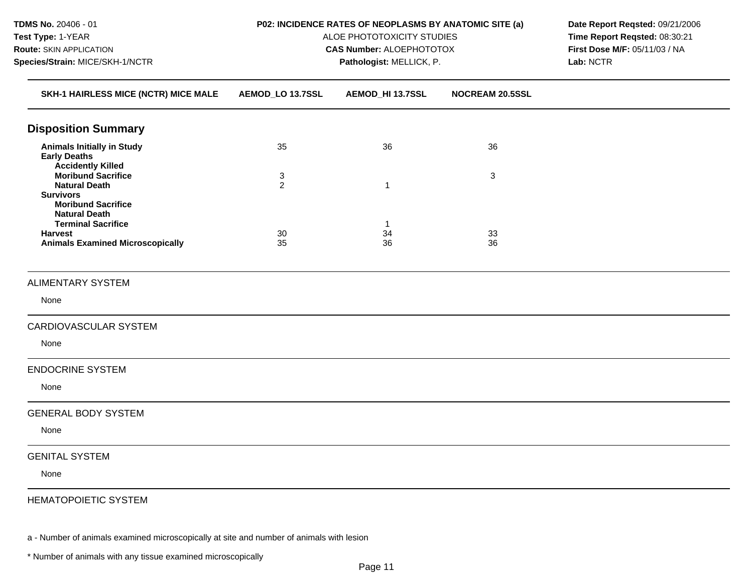| TDMS No. 20406 - 01<br>Test Type: 1-YEAR<br>Route: SKIN APPLICATION<br>Species/Strain: MICE/SKH-1/NCTR                     | P02: INCIDENCE RATES OF NEOPLASMS BY ANATOMIC SITE (a)<br>ALOE PHOTOTOXICITY STUDIES<br><b>CAS Number: ALOEPHOTOTOX</b> | Date Report Reqsted: 09/21/2006<br>Time Report Reqsted: 08:30:21<br>First Dose M/F: 05/11/03 / NA<br>Lab: NCTR |                        |  |
|----------------------------------------------------------------------------------------------------------------------------|-------------------------------------------------------------------------------------------------------------------------|----------------------------------------------------------------------------------------------------------------|------------------------|--|
| SKH-1 HAIRLESS MICE (NCTR) MICE MALE                                                                                       | AEMOD_LO 13.7SSL                                                                                                        | AEMOD_HI 13.7SSL                                                                                               | <b>NOCREAM 20.5SSL</b> |  |
| <b>Disposition Summary</b>                                                                                                 |                                                                                                                         |                                                                                                                |                        |  |
| <b>Animals Initially in Study</b><br><b>Early Deaths</b><br><b>Accidently Killed</b>                                       | 35                                                                                                                      | 36                                                                                                             | 36                     |  |
| <b>Moribund Sacrifice</b><br><b>Natural Death</b><br><b>Survivors</b><br><b>Moribund Sacrifice</b><br><b>Natural Death</b> | 3<br>$\overline{2}$                                                                                                     | $\mathbf{1}$                                                                                                   | $\mathbf{3}$           |  |
| <b>Terminal Sacrifice</b><br><b>Harvest</b><br><b>Animals Examined Microscopically</b>                                     | 30<br>35                                                                                                                | -1<br>34<br>36                                                                                                 | 33<br>36               |  |
| <b>ALIMENTARY SYSTEM</b>                                                                                                   |                                                                                                                         |                                                                                                                |                        |  |
| None                                                                                                                       |                                                                                                                         |                                                                                                                |                        |  |
| CARDIOVASCULAR SYSTEM                                                                                                      |                                                                                                                         |                                                                                                                |                        |  |
| None                                                                                                                       |                                                                                                                         |                                                                                                                |                        |  |
| <b>ENDOCRINE SYSTEM</b>                                                                                                    |                                                                                                                         |                                                                                                                |                        |  |
| None                                                                                                                       |                                                                                                                         |                                                                                                                |                        |  |
| <b>GENERAL BODY SYSTEM</b>                                                                                                 |                                                                                                                         |                                                                                                                |                        |  |
| None                                                                                                                       |                                                                                                                         |                                                                                                                |                        |  |
| <b>GENITAL SYSTEM</b>                                                                                                      |                                                                                                                         |                                                                                                                |                        |  |
| None                                                                                                                       |                                                                                                                         |                                                                                                                |                        |  |
| <b>HEMATOPOIETIC SYSTEM</b>                                                                                                |                                                                                                                         |                                                                                                                |                        |  |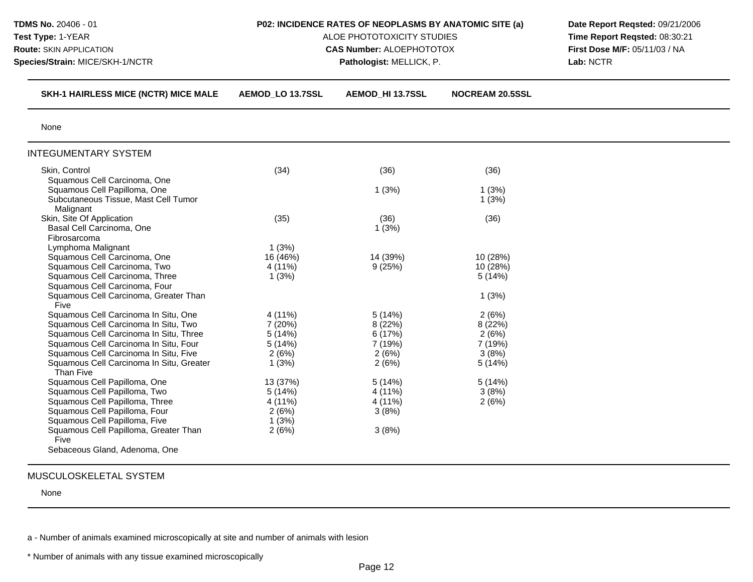| TDMS No. 20406 - 01<br>Test Type: 1-YEAR<br><b>Route: SKIN APPLICATION</b><br>Species/Strain: MICE/SKH-1/NCTR | P02: INCIDENCE RATES OF NEOPLASMS BY ANATOMIC SITE (a)<br>ALOE PHOTOTOXICITY STUDIES<br><b>CAS Number: ALOEPHOTOTOX</b><br>Pathologist: MELLICK, P. |                  |                        | Date Report Reqsted: 09/21/2006<br>Time Report Reqsted: 08:30:21<br>First Dose M/F: 05/11/03 / NA<br>Lab: NCTR |
|---------------------------------------------------------------------------------------------------------------|-----------------------------------------------------------------------------------------------------------------------------------------------------|------------------|------------------------|----------------------------------------------------------------------------------------------------------------|
| SKH-1 HAIRLESS MICE (NCTR) MICE MALE                                                                          | AEMOD_LO 13.7SSL                                                                                                                                    | AEMOD_HI 13.7SSL | <b>NOCREAM 20.5SSL</b> |                                                                                                                |
| None                                                                                                          |                                                                                                                                                     |                  |                        |                                                                                                                |
| <b>INTEGUMENTARY SYSTEM</b>                                                                                   |                                                                                                                                                     |                  |                        |                                                                                                                |
| Skin, Control                                                                                                 | (34)                                                                                                                                                | (36)             | (36)                   |                                                                                                                |
| Squamous Cell Carcinoma, One                                                                                  |                                                                                                                                                     |                  |                        |                                                                                                                |
| Squamous Cell Papilloma, One                                                                                  |                                                                                                                                                     | 1(3%)            | 1(3%)                  |                                                                                                                |
| Subcutaneous Tissue, Mast Cell Tumor                                                                          |                                                                                                                                                     |                  | 1(3%)                  |                                                                                                                |
| Malignant                                                                                                     |                                                                                                                                                     |                  |                        |                                                                                                                |
| Skin, Site Of Application                                                                                     | (35)                                                                                                                                                | (36)             | (36)                   |                                                                                                                |
| Basal Cell Carcinoma, One                                                                                     |                                                                                                                                                     | 1(3%)            |                        |                                                                                                                |
| Fibrosarcoma                                                                                                  |                                                                                                                                                     |                  |                        |                                                                                                                |
| Lymphoma Malignant                                                                                            | 1(3%)                                                                                                                                               |                  |                        |                                                                                                                |
| Squamous Cell Carcinoma, One                                                                                  | 16 (46%)                                                                                                                                            | 14 (39%)         | 10 (28%)               |                                                                                                                |
| Squamous Cell Carcinoma, Two                                                                                  | 4 (11%)                                                                                                                                             | 9(25%)           | 10 (28%)               |                                                                                                                |
| Squamous Cell Carcinoma, Three                                                                                | 1(3%)                                                                                                                                               |                  | 5(14%)                 |                                                                                                                |
| Squamous Cell Carcinoma, Four                                                                                 |                                                                                                                                                     |                  |                        |                                                                                                                |
| Squamous Cell Carcinoma, Greater Than                                                                         |                                                                                                                                                     |                  | 1(3%)                  |                                                                                                                |
| Five                                                                                                          |                                                                                                                                                     |                  |                        |                                                                                                                |
| Squamous Cell Carcinoma In Situ, One                                                                          | 4 (11%)                                                                                                                                             | 5(14%)           | 2(6%)                  |                                                                                                                |
| Squamous Cell Carcinoma In Situ, Two                                                                          | 7 (20%)                                                                                                                                             | 8(22%)           | 8 (22%)                |                                                                                                                |
| Squamous Cell Carcinoma In Situ, Three                                                                        | 5(14%)                                                                                                                                              | 6 (17%)          | 2(6%)                  |                                                                                                                |
| Squamous Cell Carcinoma In Situ, Four                                                                         | 5(14%)                                                                                                                                              | 7 (19%)          | 7 (19%)                |                                                                                                                |
| Squamous Cell Carcinoma In Situ, Five                                                                         | 2(6%)                                                                                                                                               | 2(6%)            | 3(8%)                  |                                                                                                                |
| Squamous Cell Carcinoma In Situ, Greater<br>Than Five                                                         | 1(3%)                                                                                                                                               | 2(6%)            | 5(14%)                 |                                                                                                                |
| Squamous Cell Papilloma, One                                                                                  | 13 (37%)                                                                                                                                            | 5(14%)           | 5(14%)                 |                                                                                                                |
| Squamous Cell Papilloma, Two                                                                                  | 5(14%)                                                                                                                                              | 4 (11%)          | 3(8%)                  |                                                                                                                |
| Squamous Cell Papilloma, Three                                                                                | 4 (11%)                                                                                                                                             | 4 (11%)          | 2(6%)                  |                                                                                                                |
| Squamous Cell Papilloma, Four                                                                                 | 2(6%)                                                                                                                                               | 3(8%)            |                        |                                                                                                                |
| Squamous Cell Papilloma, Five                                                                                 | 1(3%)                                                                                                                                               |                  |                        |                                                                                                                |
| Squamous Cell Papilloma, Greater Than                                                                         | 2(6%)                                                                                                                                               | 3(8%)            |                        |                                                                                                                |
| Five                                                                                                          |                                                                                                                                                     |                  |                        |                                                                                                                |
|                                                                                                               |                                                                                                                                                     |                  |                        |                                                                                                                |
| Sebaceous Gland, Adenoma, One                                                                                 |                                                                                                                                                     |                  |                        |                                                                                                                |

None

a - Number of animals examined microscopically at site and number of animals with lesion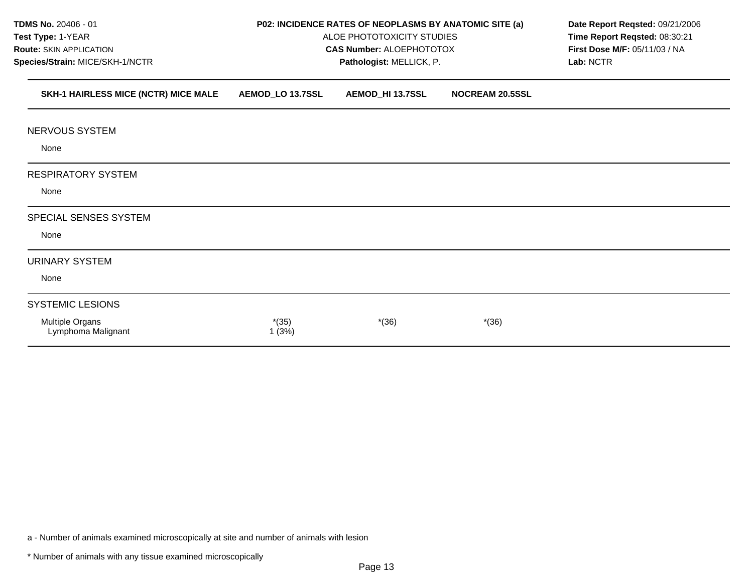| TDMS No. 20406 - 01                   |                          | P02: INCIDENCE RATES OF NEOPLASMS BY ANATOMIC SITE (a) | Date Report Reqsted: 09/21/2006<br>Time Report Reqsted: 08:30:21<br>First Dose M/F: 05/11/03 / NA |           |  |
|---------------------------------------|--------------------------|--------------------------------------------------------|---------------------------------------------------------------------------------------------------|-----------|--|
| Test Type: 1-YEAR                     |                          | ALOE PHOTOTOXICITY STUDIES                             |                                                                                                   |           |  |
| Route: SKIN APPLICATION               |                          | <b>CAS Number: ALOEPHOTOTOX</b>                        |                                                                                                   |           |  |
| Species/Strain: MICE/SKH-1/NCTR       | Pathologist: MELLICK, P. |                                                        |                                                                                                   | Lab: NCTR |  |
| SKH-1 HAIRLESS MICE (NCTR) MICE MALE  | AEMOD_LO 13.7SSL         | AEMOD_HI 13.7SSL                                       | <b>NOCREAM 20.5SSL</b>                                                                            |           |  |
| <b>NERVOUS SYSTEM</b>                 |                          |                                                        |                                                                                                   |           |  |
| None                                  |                          |                                                        |                                                                                                   |           |  |
| <b>RESPIRATORY SYSTEM</b>             |                          |                                                        |                                                                                                   |           |  |
| None                                  |                          |                                                        |                                                                                                   |           |  |
| SPECIAL SENSES SYSTEM                 |                          |                                                        |                                                                                                   |           |  |
| None                                  |                          |                                                        |                                                                                                   |           |  |
| <b>URINARY SYSTEM</b>                 |                          |                                                        |                                                                                                   |           |  |
| None                                  |                          |                                                        |                                                                                                   |           |  |
| <b>SYSTEMIC LESIONS</b>               |                          |                                                        |                                                                                                   |           |  |
| Multiple Organs<br>Lymphoma Malignant | $*(35)$<br>1(3%)         | $*(36)$                                                | $*(36)$                                                                                           |           |  |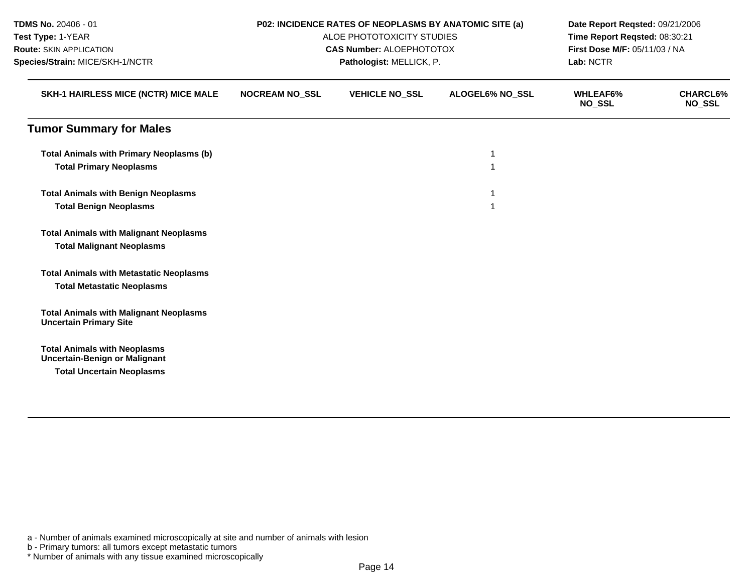| TDMS No. 20406 - 01<br>Test Type: 1-YEAR<br>Route: SKIN APPLICATION<br>Species/Strain: MICE/SKH-1/NCTR<br>SKH-1 HAIRLESS MICE (NCTR) MICE MALE<br><b>Tumor Summary for Males</b><br><b>Total Animals with Primary Neoplasms (b)</b><br><b>Total Primary Neoplasms</b><br><b>Total Animals with Benign Neoplasms</b><br><b>Total Benign Neoplasms</b> |                          | P02: INCIDENCE RATES OF NEOPLASMS BY ANATOMIC SITE (a)        | Date Report Reqsted: 09/21/2006<br>Time Report Reqsted: 08:30:21<br>First Dose M/F: 05/11/03 / NA |                                  |                                  |
|------------------------------------------------------------------------------------------------------------------------------------------------------------------------------------------------------------------------------------------------------------------------------------------------------------------------------------------------------|--------------------------|---------------------------------------------------------------|---------------------------------------------------------------------------------------------------|----------------------------------|----------------------------------|
|                                                                                                                                                                                                                                                                                                                                                      |                          | ALOE PHOTOTOXICITY STUDIES<br><b>CAS Number: ALOEPHOTOTOX</b> |                                                                                                   |                                  |                                  |
|                                                                                                                                                                                                                                                                                                                                                      | Pathologist: MELLICK, P. |                                                               |                                                                                                   | Lab: NCTR                        |                                  |
|                                                                                                                                                                                                                                                                                                                                                      | <b>NOCREAM NO_SSL</b>    | <b>VEHICLE NO_SSL</b>                                         | ALOGEL6% NO_SSL                                                                                   | <b>WHLEAF6%</b><br><b>NO_SSL</b> | <b>CHARCL6%</b><br><b>NO_SSL</b> |
|                                                                                                                                                                                                                                                                                                                                                      |                          |                                                               |                                                                                                   |                                  |                                  |
|                                                                                                                                                                                                                                                                                                                                                      |                          |                                                               |                                                                                                   |                                  |                                  |
|                                                                                                                                                                                                                                                                                                                                                      |                          |                                                               |                                                                                                   |                                  |                                  |
|                                                                                                                                                                                                                                                                                                                                                      |                          |                                                               |                                                                                                   |                                  |                                  |
|                                                                                                                                                                                                                                                                                                                                                      |                          |                                                               |                                                                                                   |                                  |                                  |
| <b>Total Animals with Malignant Neoplasms</b>                                                                                                                                                                                                                                                                                                        |                          |                                                               |                                                                                                   |                                  |                                  |
| <b>Total Malignant Neoplasms</b>                                                                                                                                                                                                                                                                                                                     |                          |                                                               |                                                                                                   |                                  |                                  |
| <b>Total Animals with Metastatic Neoplasms</b>                                                                                                                                                                                                                                                                                                       |                          |                                                               |                                                                                                   |                                  |                                  |
| <b>Total Metastatic Neoplasms</b>                                                                                                                                                                                                                                                                                                                    |                          |                                                               |                                                                                                   |                                  |                                  |
| <b>Total Animals with Malignant Neoplasms</b><br><b>Uncertain Primary Site</b>                                                                                                                                                                                                                                                                       |                          |                                                               |                                                                                                   |                                  |                                  |
| <b>Total Animals with Neoplasms</b><br><b>Uncertain-Benign or Malignant</b>                                                                                                                                                                                                                                                                          |                          |                                                               |                                                                                                   |                                  |                                  |
| <b>Total Uncertain Neoplasms</b>                                                                                                                                                                                                                                                                                                                     |                          |                                                               |                                                                                                   |                                  |                                  |

b - Primary tumors: all tumors except metastatic tumors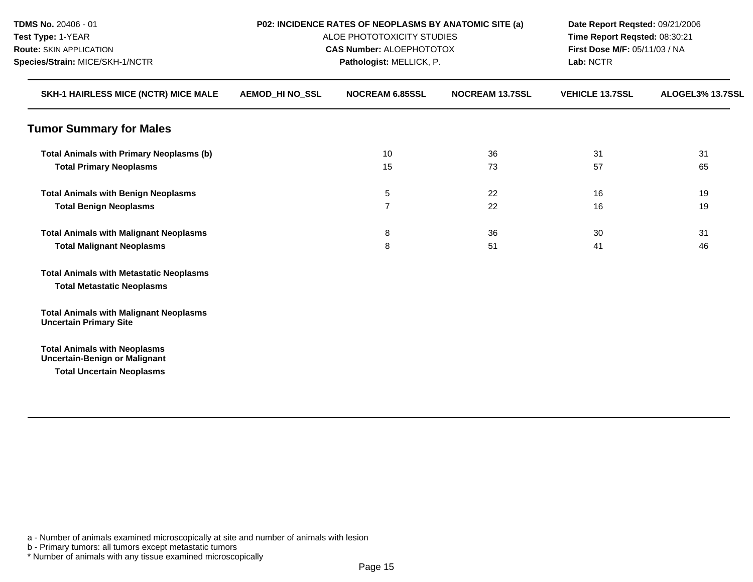| TDMS No. 20406 - 01<br>Test Type: 1-YEAR<br><b>Route: SKIN APPLICATION</b>                                      | P02: INCIDENCE RATES OF NEOPLASMS BY ANATOMIC SITE (a)<br>ALOE PHOTOTOXICITY STUDIES<br><b>CAS Number: ALOEPHOTOTOX</b><br>Pathologist: MELLICK, P. |                        |                        | Date Report Reqsted: 09/21/2006<br>Time Report Reqsted: 08:30:21<br>First Dose M/F: 05/11/03 / NA |                  |  |
|-----------------------------------------------------------------------------------------------------------------|-----------------------------------------------------------------------------------------------------------------------------------------------------|------------------------|------------------------|---------------------------------------------------------------------------------------------------|------------------|--|
| Species/Strain: MICE/SKH-1/NCTR<br>SKH-1 HAIRLESS MICE (NCTR) MICE MALE                                         |                                                                                                                                                     |                        |                        | Lab: NCTR                                                                                         |                  |  |
|                                                                                                                 | <b>AEMOD_HI NO_SSL</b>                                                                                                                              | <b>NOCREAM 6.85SSL</b> | <b>NOCREAM 13.7SSL</b> | <b>VEHICLE 13.7SSL</b>                                                                            | ALOGEL3% 13.7SSL |  |
| <b>Tumor Summary for Males</b>                                                                                  |                                                                                                                                                     |                        |                        |                                                                                                   |                  |  |
| <b>Total Animals with Primary Neoplasms (b)</b>                                                                 |                                                                                                                                                     | 10                     | 36                     | 31                                                                                                | 31               |  |
| <b>Total Primary Neoplasms</b>                                                                                  |                                                                                                                                                     | 15                     | 73                     | 57                                                                                                | 65               |  |
| <b>Total Animals with Benign Neoplasms</b>                                                                      |                                                                                                                                                     | 5                      | 22                     | 16                                                                                                | 19               |  |
| <b>Total Benign Neoplasms</b>                                                                                   |                                                                                                                                                     | $\overline{7}$         | 22                     | 16                                                                                                | 19               |  |
| <b>Total Animals with Malignant Neoplasms</b>                                                                   |                                                                                                                                                     | 8                      | 36                     | 30                                                                                                | 31               |  |
| <b>Total Malignant Neoplasms</b>                                                                                |                                                                                                                                                     | 8                      | 51                     | 41                                                                                                | 46               |  |
| <b>Total Animals with Metastatic Neoplasms</b>                                                                  |                                                                                                                                                     |                        |                        |                                                                                                   |                  |  |
| <b>Total Metastatic Neoplasms</b>                                                                               |                                                                                                                                                     |                        |                        |                                                                                                   |                  |  |
| <b>Total Animals with Malignant Neoplasms</b><br><b>Uncertain Primary Site</b>                                  |                                                                                                                                                     |                        |                        |                                                                                                   |                  |  |
| <b>Total Animals with Neoplasms</b><br><b>Uncertain-Benign or Malignant</b><br><b>Total Uncertain Neoplasms</b> |                                                                                                                                                     |                        |                        |                                                                                                   |                  |  |
|                                                                                                                 |                                                                                                                                                     |                        |                        |                                                                                                   |                  |  |

b - Primary tumors: all tumors except metastatic tumors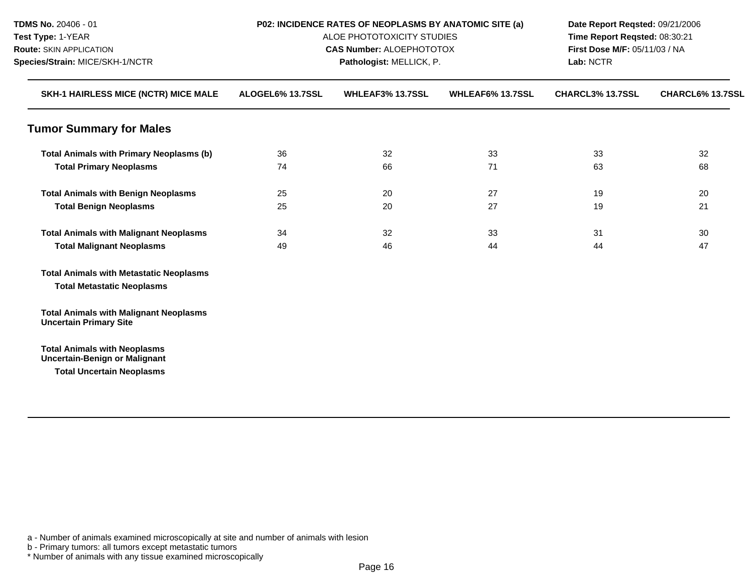| TDMS No. 20406 - 01                                                                                             | P02: INCIDENCE RATES OF NEOPLASMS BY ANATOMIC SITE (a)<br>ALOE PHOTOTOXICITY STUDIES<br><b>CAS Number: ALOEPHOTOTOX</b><br>Pathologist: MELLICK, P. |                         |                         | Date Report Reqsted: 09/21/2006<br>Time Report Reqsted: 08:30:21<br>First Dose M/F: 05/11/03 / NA |                  |  |
|-----------------------------------------------------------------------------------------------------------------|-----------------------------------------------------------------------------------------------------------------------------------------------------|-------------------------|-------------------------|---------------------------------------------------------------------------------------------------|------------------|--|
| Test Type: 1-YEAR                                                                                               |                                                                                                                                                     |                         |                         |                                                                                                   |                  |  |
| <b>Route: SKIN APPLICATION</b><br>Species/Strain: MICE/SKH-1/NCTR<br>SKH-1 HAIRLESS MICE (NCTR) MICE MALE       |                                                                                                                                                     |                         |                         |                                                                                                   |                  |  |
|                                                                                                                 |                                                                                                                                                     |                         |                         | Lab: NCTR                                                                                         |                  |  |
|                                                                                                                 | ALOGEL6% 13.7SSL                                                                                                                                    | <b>WHLEAF3% 13.7SSL</b> | <b>WHLEAF6% 13.7SSL</b> | CHARCL3% 13.7SSL                                                                                  | CHARCL6% 13.7SSL |  |
| <b>Tumor Summary for Males</b>                                                                                  |                                                                                                                                                     |                         |                         |                                                                                                   |                  |  |
| <b>Total Animals with Primary Neoplasms (b)</b>                                                                 | 36                                                                                                                                                  | 32                      | 33                      | 33                                                                                                | 32               |  |
| <b>Total Primary Neoplasms</b>                                                                                  | 74                                                                                                                                                  | 66                      | 71                      | 63                                                                                                | 68               |  |
| <b>Total Animals with Benign Neoplasms</b>                                                                      | 25                                                                                                                                                  | 20                      | 27                      | 19                                                                                                | 20               |  |
| <b>Total Benign Neoplasms</b>                                                                                   | 25                                                                                                                                                  | 20                      | 27                      | 19                                                                                                | 21               |  |
| <b>Total Animals with Malignant Neoplasms</b>                                                                   | 34                                                                                                                                                  | 32                      | 33                      | 31                                                                                                | 30               |  |
| <b>Total Malignant Neoplasms</b>                                                                                | 49                                                                                                                                                  | 46                      | 44                      | 44                                                                                                | 47               |  |
| <b>Total Animals with Metastatic Neoplasms</b><br><b>Total Metastatic Neoplasms</b>                             |                                                                                                                                                     |                         |                         |                                                                                                   |                  |  |
| <b>Total Animals with Malignant Neoplasms</b><br><b>Uncertain Primary Site</b>                                  |                                                                                                                                                     |                         |                         |                                                                                                   |                  |  |
| <b>Total Animals with Neoplasms</b><br><b>Uncertain-Benign or Malignant</b><br><b>Total Uncertain Neoplasms</b> |                                                                                                                                                     |                         |                         |                                                                                                   |                  |  |

b - Primary tumors: all tumors except metastatic tumors